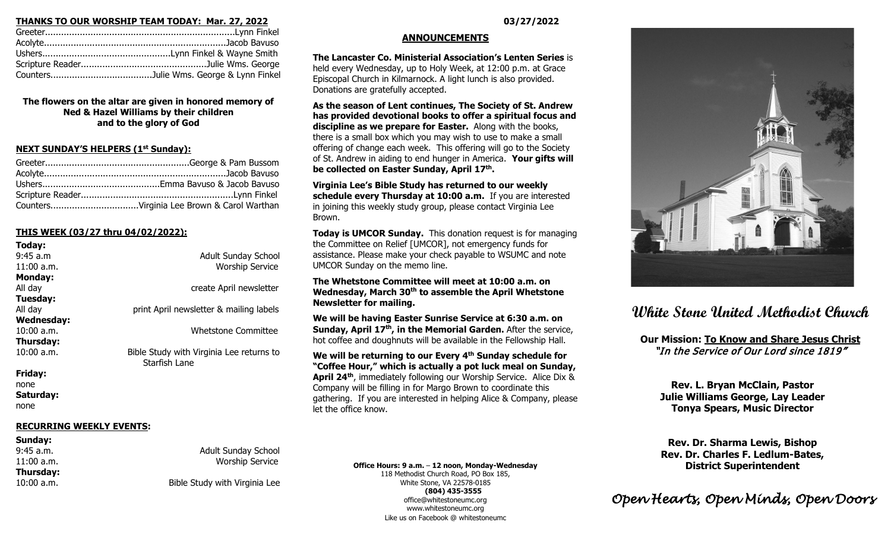#### **THANKS TO OUR WORSHIP TEAM TODAY: Mar. 27, 2022**

**The flowers on the altar are given in honored memory of Ned & Hazel Williams by their children and to the glory of God**

#### **NEXT SUNDAY'S HELPERS (1st Sunday):**

# **THIS WEEK (03/27 thru 04/02/2022):**

| Today:            |                                          |
|-------------------|------------------------------------------|
| 9:45a.m           | <b>Adult Sunday School</b>               |
| $11:00$ a.m.      | <b>Worship Service</b>                   |
| <b>Monday:</b>    |                                          |
| All day           | create April newsletter                  |
| Tuesday:          |                                          |
| All day           | print April newsletter & mailing labels  |
| <b>Wednesday:</b> |                                          |
| $10:00$ a.m.      | <b>Whetstone Committee</b>               |
| Thursday:         |                                          |
| $10:00$ a.m.      | Bible Study with Virginia Lee returns to |
|                   | Starfish Lane                            |
| Friday:           |                                          |
| none              |                                          |
| Saturday:         |                                          |

#### **RECURRING WEEKLY EVENTS:**

# **Sunday: Thursday:**

none

9:45 a.m. Adult Sunday School 11:00 a.m. Worship Service

# 10:00 a.m. Bible Study with Virginia Lee

**Office Hours: 9 a.m.** – **12 noon, Monday-Wednesday** 118 Methodist Church Road, PO Box 185, White Stone, VA 22578-0185 **(804) 435-3555** office@whitestoneumc.org www.whitestoneumc.org Like us on Facebook @ whitestoneumc

#### **03/27/2022**

#### **ANNOUNCEMENTS**

**The Lancaster Co. Ministerial Association's Lenten Series** is held every Wednesday, up to Holy Week, at 12:00 p.m. at Grace Episcopal Church in Kilmarnock. A light lunch is also provided. Donations are gratefully accepted.

**As the season of Lent continues, The Society of St. Andrew has provided devotional books to offer a spiritual focus and discipline as we prepare for Easter.** Along with the books, there is a small box which you may wish to use to make a small offering of change each week. This offering will go to the Society of St. Andrew in aiding to end hunger in America. **Your gifts will be collected on Easter Sunday, April 17th.**

**Virginia Lee's Bible Study has returned to our weekly schedule every Thursday at 10:00 a.m.** If you are interested in joining this weekly study group, please contact Virginia Lee Brown.

**Today is UMCOR Sunday.** This donation request is for managing the Committee on Relief [UMCOR], not emergency funds for assistance. Please make your check payable to WSUMC and note UMCOR Sunday on the memo line.

#### **The Whetstone Committee will meet at 10:00 a.m. on Wednesday, March 30th to assemble the April Whetstone Newsletter for mailing.**

**We will be having Easter Sunrise Service at 6:30 a.m. on Sunday, April 17<sup>th</sup>, in the Memorial Garden.** After the service, hot coffee and doughnuts will be available in the Fellowship Hall.

**We will be returning to our Every 4th Sunday schedule for "Coffee Hour," which is actually a pot luck meal on Sunday, April 24th**, immediately following our Worship Service. Alice Dix & Company will be filling in for Margo Brown to coordinate this gathering. If you are interested in helping Alice & Company, please let the office know.



# **White Stone United Methodist Church**

**Our Mission: To Know and Share Jesus Christ** "In the Service of Our Lord since 1819"

**Rev. L. Bryan McClain, Pastor Julie Williams George, Lay Leader Tonya Spears, Music Director**

**Rev. Dr. Sharma Lewis, Bishop Rev. Dr. Charles F. Ledlum-Bates, District Superintendent**

*Open Hearts, Open Minds, Open Doors*